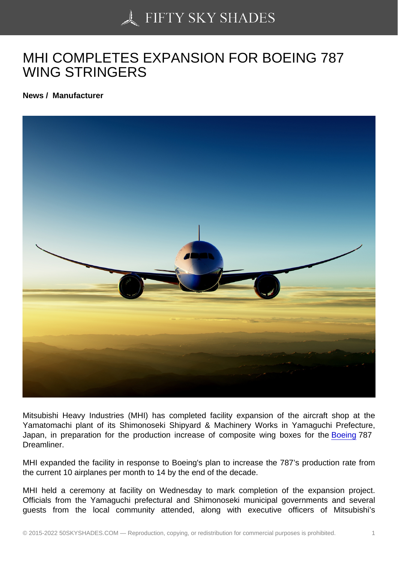## [MHI COMPLETES EXP](https://50skyshades.com)ANSION FOR BOEING 787 WING STRINGERS

News / Manufacturer

Mitsubishi Heavy Industries (MHI) has completed facility expansion of the aircraft shop at the Yamatomachi plant of its Shimonoseki Shipyard & Machinery Works in Yamaguchi Prefecture, Japan, in preparation for the production increase of composite wing boxes for the Boeing 787 Dreamliner.

MHI expanded the facility in response to Boeing's plan to increase the 787's producti[on rate](http://www.aviatime.com/en/commercial-aviation/commercial-aviation-news/manufacturers) from the current 10 airplanes per month to 14 by the end of the decade.

MHI held a ceremony at facility on Wednesday to mark completion of the expansion project. Officials from the Yamaguchi prefectural and Shimonoseki municipal governments and several guests from the local community attended, along with executive officers of Mitsubishi's